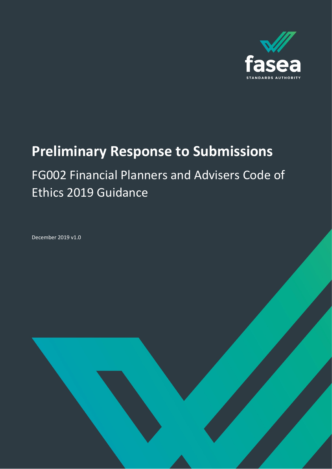

# **Preliminary Response to Submissions**

# FG002 Financial Planners and Advisers Code of Ethics 2019 Guidance

Financial Adviser Standards and Ethics Authority (FASEA) 1

December 2019 v1.0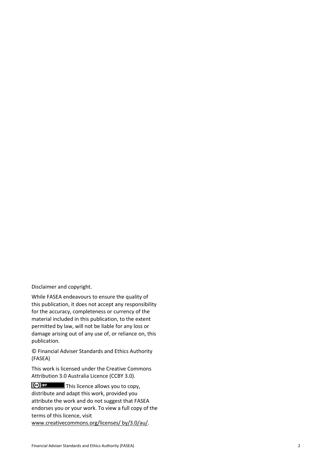Disclaimer and copyright .

While FASEA endeavours to ensure the quality of this publication, it does not accept any responsibility for the accuracy, completeness or currency of the material included in this publication, to the extent permitted by law, will not be liable for any loss or damage arising out of any use of, or reliance on, this publication.

© Financial Adviser Standards and Ethics Authority (FASEA)

This work is licensed under the Creative Commons Attribution 3.0 Australia Licence (CCBY 3.0).

This licence allows you to copy, distribute and adapt this work, provided you attribute the work and do not suggest that FASEA endorses you or your work. To view a full copy of the terms of this licence, visit www.creativecommons.org/licenses/ by/3.0/au/ .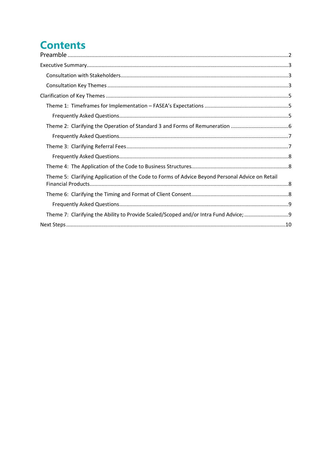# **Contents**

| Theme 5: Clarifying Application of the Code to Forms of Advice Beyond Personal Advice on Retail |  |
|-------------------------------------------------------------------------------------------------|--|
|                                                                                                 |  |
|                                                                                                 |  |
|                                                                                                 |  |
|                                                                                                 |  |
|                                                                                                 |  |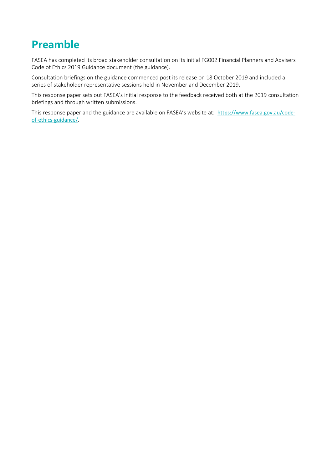# <span id="page-3-0"></span>**Preamble**

FASEA has completed its broad stakeholder consultation on its initial FG002 Financial Planners and Advisers Code of Ethics 2019 Guidance document (the guidance).

Consultation briefings on the guidance commenced post its release on 18 October 2019 and included a series of stakeholder representative sessions held in November and December 2019.

This response paper sets out FASEA's initial response to the feedback received both at the 2019 consultation briefings and through written submissions.

This response paper and the guidance are available on FASEA's website at: [https://www.fasea.gov.au/code](https://www.fasea.gov.au/code-of-ethics-guidance/)[of-ethics-guidance/](https://www.fasea.gov.au/code-of-ethics-guidance/).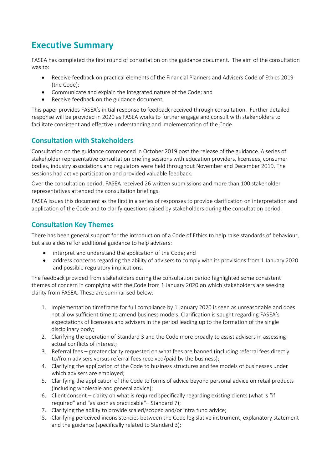## <span id="page-4-0"></span>**Executive Summary**

FASEA has completed the first round of consultation on the guidance document. The aim of the consultation was to:

- Receive feedback on practical elements of the Financial Planners and Advisers Code of Ethics 2019 (the Code);
- Communicate and explain the integrated nature of the Code; and
- Receive feedback on the guidance document.

This paper provides FASEA's initial response to feedback received through consultation. Further detailed response will be provided in 2020 as FASEA works to further engage and consult with stakeholders to facilitate consistent and effective understanding and implementation of the Code.

## <span id="page-4-1"></span>**Consultation with Stakeholders**

Consultation on the guidance commenced in October 2019 post the release of the guidance. A series of stakeholder representative consultation briefing sessions with education providers, licensees, consumer bodies, industry associations and regulators were held throughout November and December 2019. The sessions had active participation and provided valuable feedback.

Over the consultation period, FASEA received 26 written submissions and more than 100 stakeholder representatives attended the consultation briefings.

FASEA issues this document as the first in a series of responses to provide clarification on interpretation and application of the Code and to clarify questions raised by stakeholders during the consultation period.

## <span id="page-4-2"></span>**Consultation Key Themes**

There has been general support for the introduction of a Code of Ethics to help raise standards of behaviour, but also a desire for additional guidance to help advisers:

- interpret and understand the application of the Code; and
- address concerns regarding the ability of advisers to comply with its provisions from 1 January 2020 and possible regulatory implications.

The feedback provided from stakeholders during the consultation period highlighted some consistent themes of concern in complying with the Code from 1 January 2020 on which stakeholders are seeking clarity from FASEA. These are summarised below:

- 1. Implementation timeframe for full compliance by 1 January 2020 is seen as unreasonable and does not allow sufficient time to amend business models. Clarification is sought regarding FASEA's expectations of licensees and advisers in the period leading up to the formation of the single disciplinary body;
- 2. Clarifying the operation of Standard 3 and the Code more broadly to assist advisers in assessing actual conflicts of interest;
- 3. Referral fees greater clarity requested on what fees are banned (including referral fees directly to/from advisers versus referral fees received/paid by the business);
- 4. Clarifying the application of the Code to business structures and fee models of businesses under which advisers are employed;
- 5. Clarifying the application of the Code to forms of advice beyond personal advice on retail products (including wholesale and general advice);
- 6. Client consent clarity on what is required specifically regarding existing clients (what is "if required" and "as soon as practicable"– Standard 7);
- 7. Clarifying the ability to provide scaled/scoped and/or intra fund advice;
- 8. Clarifying perceived inconsistencies between the Code legislative instrument, explanatory statement and the guidance (specifically related to Standard 3);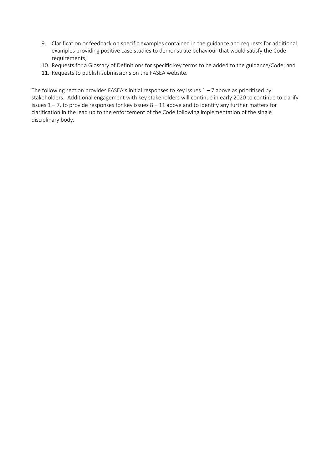- 9. Clarification or feedback on specific examples contained in the guidance and requests for additional examples providing positive case studies to demonstrate behaviour that would satisfy the Code requirements;
- 10. Requests for a Glossary of Definitions for specific key terms to be added to the guidance/Code; and
- 11. Requests to publish submissions on the FASEA website.

The following section provides FASEA's initial responses to key issues  $1 - 7$  above as prioritised by stakeholders. Additional engagement with key stakeholders will continue in early 2020 to continue to clarify issues  $1 - 7$ , to provide responses for key issues  $8 - 11$  above and to identify any further matters for clarification in the lead up to the enforcement of the Code following implementation of the single disciplinary body.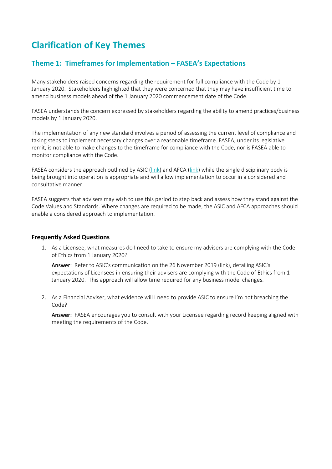# <span id="page-6-0"></span>**Clarification of Key Themes**

## <span id="page-6-1"></span>**Theme 1: Timeframes for Implementation – FASEA's Expectations**

Many stakeholders raised concerns regarding the requirement for full compliance with the Code by 1 January 2020. Stakeholders highlighted that they were concerned that they may have insufficient time to amend business models ahead of the 1 January 2020 commencement date of the Code.

FASEA understands the concern expressed by stakeholders regarding the ability to amend practices/business models by 1 January 2020.

The implementation of any new standard involves a period of assessing the current level of compliance and taking steps to implement necessary changes over a reasonable timeframe. FASEA, under its legislative remit, is not able to make changes to the timeframe for compliance with the Code, nor is FASEA able to monitor compliance with the Code.

FASEA considers the approach outlined by ASIC [\(link\)](https://www.afca.org.au/news/media-releases/afca-approach-to-adviser-conduct-obligations/) and AFCA (link) while the single disciplinary body is being brought into operation is appropriate and will allow implementation to occur in a considered and consultative manner.

FASEA suggests that advisers may wish to use this period to step back and assess how they stand against the Code Values and Standards. Where changes are required to be made, the ASIC and AFCA approaches should enable a considered approach to implementation.

#### <span id="page-6-2"></span>**Frequently Asked Questions**

1. As a Licensee, what measures do I need to take to ensure my advisers are complying with the Code of Ethics from 1 January 2020?

Answer: Refer to ASIC's communication on the 26 November 2019 [\(link\)](https://asic.gov.au/about-asic/news-centre/find-a-media-release/2019-releases/19-319mr-asic-outlines-approach-to-advice-licensee-obligations-for-the-financial-adviser-code-of-ethics/), detailing ASIC's expectations of Licensees in ensuring their advisers are complying with the Code of Ethics from 1 January 2020. This approach will allow time required for any business model changes.

2. As a Financial Adviser, what evidence will I need to provide ASIC to ensure I'm not breaching the Code?

Answer: FASEA encourages you to consult with your Licensee regarding record keeping aligned with meeting the requirements of the Code.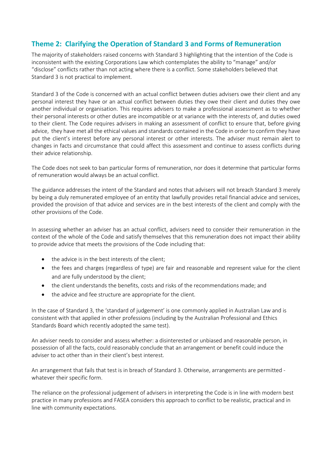## <span id="page-7-0"></span>**Theme 2: Clarifying the Operation of Standard 3 and Forms of Remuneration**

The majority of stakeholders raised concerns with Standard 3 highlighting that the intention of the Code is inconsistent with the existing Corporations Law which contemplates the ability to "manage" and/or "disclose" conflicts rather than not acting where there is a conflict. Some stakeholders believed that Standard 3 is not practical to implement.

Standard 3 of the Code is concerned with an actual conflict between duties advisers owe their client and any personal interest they have or an actual conflict between duties they owe their client and duties they owe another individual or organisation. This requires advisers to make a professional assessment as to whether their personal interests or other duties are incompatible or at variance with the interests of, and duties owed to their client. The Code requires advisers in making an assessment of conflict to ensure that, before giving advice, they have met all the ethical values and standards contained in the Code in order to confirm they have put the client's interest before any personal interest or other interests. The adviser must remain alert to changes in facts and circumstance that could affect this assessment and continue to assess conflicts during their advice relationship.

The Code does not seek to ban particular forms of remuneration, nor does it determine that particular forms of remuneration would always be an actual conflict.

The guidance addresses the intent of the Standard and notes that advisers will not breach Standard 3 merely by being a duly remunerated employee of an entity that lawfully provides retail financial advice and services, provided the provision of that advice and services are in the best interests of the client and comply with the other provisions of the Code.

In assessing whether an adviser has an actual conflict, advisers need to consider their remuneration in the context of the whole of the Code and satisfy themselves that this remuneration does not impact their ability to provide advice that meets the provisions of the Code including that:

- the advice is in the best interests of the client;
- the fees and charges (regardless of type) are fair and reasonable and represent value for the client and are fully understood by the client;
- the client understands the benefits, costs and risks of the recommendations made; and
- the advice and fee structure are appropriate for the client.

In the case of Standard 3, the 'standard of judgement' is one commonly applied in Australian Law and is consistent with that applied in other professions (including by the Australian Professional and Ethics Standards Board which recently adopted the same test).

An adviser needs to consider and assess whether: a disinterested or unbiased and reasonable person, in possession of all the facts, could reasonably conclude that an arrangement or benefit could induce the adviser to act other than in their client's best interest.

An arrangement that fails that test is in breach of Standard 3. Otherwise, arrangements are permitted whatever their specific form.

The reliance on the professional judgement of advisers in interpreting the Code is in line with modern best practice in many professions and FASEA considers this approach to conflict to be realistic, practical and in line with community expectations.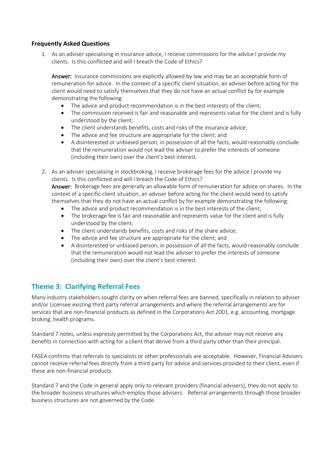#### <span id="page-8-0"></span>**Frequently Asked Questions**

1. As an adviser specialising in insurance advice, I receive commissions for the advice I provide my clients. Is this conflicted and will I breach the Code of Ethics?

Answer: Insurance commissions are explicitly allowed by law and may be an acceptable form of remuneration for advice. In the context of a specific client situation, an adviser before acting for the client would need to satisfy themselves that they do not have an actual conflict by for example demonstrating the following:

- The advice and product recommendation is in the best interests of the client;
- The commission received is fair and reasonable and represents value for the client and is fully understood by the client;
- The client understands benefits, costs and risks of the insurance advice;
- The advice and fee structure are appropriate for the client; and
- A disinterested or unbiased person, in possession of all the facts, would reasonably conclude that the remuneration would not lead the adviser to prefer the interests of someone (including their own) over the client's best interest.
- 2. As an adviser specialising in stockbroking, I receive brokerage fees for the advice I provide my clients. Is this conflicted and will I breach the Code of Ethics? Answer: Brokerage fees are generally an allowable form of remuneration for advice on shares. In the context of a specific client situation, an adviser before acting for the client would need to satisfy themselves that they do not have an actual conflict by for example demonstrating the following:
	- The advice and product recommendation is in the best interests of the client;
	- The brokerage fee is fair and reasonable and represents value for the client and is fully understood by the client;
	- The client understands benefits, costs and risks of the share advice;
	- The advice and fee structure are appropriate for the client; and
	- A disinterested or unbiased person, in possession of all the facts, would reasonably conclude that the remuneration would not lead the adviser to prefer the interests of someone (including their own) over the client's best interest.

#### <span id="page-8-1"></span>**Theme 3: Clarifying Referral Fees**

Many industry stakeholders sought clarity on when referral fees are banned, specifically in relation to adviser and/or Licensee existing third party referral arrangements and where the referral arrangements are for services that are non-financial products as defined in the Corporations Act 2001, e.g. accounting, mortgage broking, health programs.

Standard 7 notes, unless expressly permitted by the Corporations Act, the adviser may not receive any benefits in connection with acting for a client that derive from a third party other than their principal.

FASEA confirms that referrals to specialists or other professionals are acceptable. However, Financial Advisers cannot receive referral fees directly from a third party for advice and services provided to their client, even if these are non-financial products.

Standard 7 and the Code in general apply only to relevant providers (financial advisers), they do not apply to the broader business structures which employ those advisers. Referral arrangements through those broader business structures are not governed by the Code.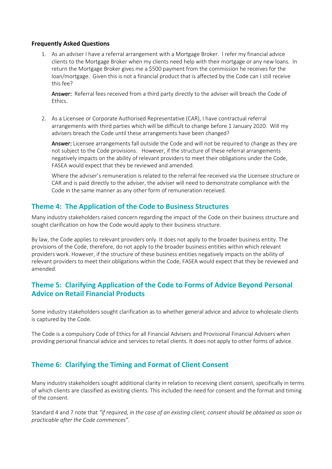#### <span id="page-9-0"></span>**Frequently Asked Questions**

1. As an adviser I have a referral arrangement with a Mortgage Broker. I refer my financial advice clients to the Mortgage Broker when my clients need help with their mortgage or any new loans. In return the Mortgage Broker gives me a \$500 payment from the commission he receives for the loan/mortgage. Given this is not a financial product that is affected by the Code can I still receive this fee?

Answer: Referral fees received from a third party directly to the adviser will breach the Code of Ethics.

2. As a Licensee or Corporate Authorised Representative (CAR), I have contractual referral arrangements with third parties which will be difficult to change before 1 January 2020. Will my advisers breach the Code until these arrangements have been changed?

Answer: Licensee arrangements fall outside the Code and will not be required to change as they are not subject to the Code provisions. However, if the structure of these referral arrangements negatively impacts on the ability of relevant providers to meet their obligations under the Code, FASEA would expect that they be reviewed and amended.

Where the adviser's remuneration is related to the referral fee received via the Licensee structure or CAR and is paid directly to the adviser, the adviser will need to demonstrate compliance with the Code in the same manner as any other form of remuneration received.

#### <span id="page-9-1"></span>**Theme 4: The Application of the Code to Business Structures**

Many industry stakeholders raised concern regarding the impact of the Code on their business structure and sought clarification on how the Code would apply to their business structure.

By law, the Code applies to relevant providers only. It does not apply to the broader business entity. The provisions of the Code, therefore, do not apply to the broader business entities within which relevant providers work. However, if the structure of these business entities negatively impacts on the ability of relevant providers to meet their obligations within the Code, FASEA would expect that they be reviewed and amended.

#### <span id="page-9-2"></span>**Theme 5: Clarifying Application of the Code to Forms of Advice Beyond Personal Advice on Retail Financial Products**

Some industry stakeholders sought clarification as to whether general advice and advice to wholesale clients is captured by the Code.

The Code is a compulsory Code of Ethics for all Financial Advisers and Provisional Financial Advisers when providing personal financial advice and services to retail clients. It does not apply to other forms of advice.

#### <span id="page-9-3"></span>**Theme 6: Clarifying the Timing and Format of Client Consent**

Many industry stakeholders sought additional clarity in relation to receiving client consent, specifically in terms of which clients are classified as existing clients. This included the need for consent and the format and timing of the consent.

Standard 4 and 7 note that *"if required, in the case of an existing client, consent should be obtained as soon as practicable after the Code commences"*.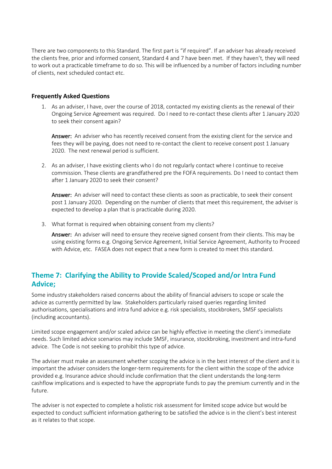There are two components to this Standard. The first part is "if required". If an adviser has already received the clients free, prior and informed consent, Standard 4 and 7 have been met. If they haven't, they will need to work out a practicable timeframe to do so. This will be influenced by a number of factors including number of clients, next scheduled contact etc.

#### <span id="page-10-0"></span>**Frequently Asked Questions**

1. As an adviser, I have, over the course of 2018, contacted my existing clients as the renewal of their Ongoing Service Agreement was required. Do I need to re-contact these clients after 1 January 2020 to seek their consent again?

Answer: An adviser who has recently received consent from the existing client for the service and fees they will be paying, does not need to re-contact the client to receive consent post 1 January 2020. The next renewal period is sufficient.

2. As an adviser, I have existing clients who I do not regularly contact where I continue to receive commission. These clients are grandfathered pre the FOFA requirements. Do I need to contact them after 1 January 2020 to seek their consent?

Answer: An adviser will need to contact these clients as soon as practicable, to seek their consent post 1 January 2020. Depending on the number of clients that meet this requirement, the adviser is expected to develop a plan that is practicable during 2020.

3. What format is required when obtaining consent from my clients?

Answer: An adviser will need to ensure they receive signed consent from their clients. This may be using existing forms e.g. Ongoing Service Agreement, Initial Service Agreement, Authority to Proceed with Advice, etc. FASEA does not expect that a new form is created to meet this standard.

### <span id="page-10-1"></span>**Theme 7: Clarifying the Ability to Provide Scaled/Scoped and/or Intra Fund Advice;**

Some industry stakeholders raised concerns about the ability of financial advisers to scope or scale the advice as currently permitted by law. Stakeholders particularly raised queries regarding limited authorisations, specialisations and intra fund advice e.g. risk specialists, stockbrokers, SMSF specialists (including accountants).

Limited scope engagement and/or scaled advice can be highly effective in meeting the client's immediate needs. Such limited advice scenarios may include SMSF, insurance, stockbroking, investment and intra-fund advice. The Code is not seeking to prohibit this type of advice.

The adviser must make an assessment whether scoping the advice is in the best interest of the client and it is important the adviser considers the longer-term requirements for the client within the scope of the advice provided e.g. Insurance advice should include confirmation that the client understands the long-term cashflow implications and is expected to have the appropriate funds to pay the premium currently and in the future.

The adviser is not expected to complete a holistic risk assessment for limited scope advice but would be expected to conduct sufficient information gathering to be satisfied the advice is in the client's best interest as it relates to that scope.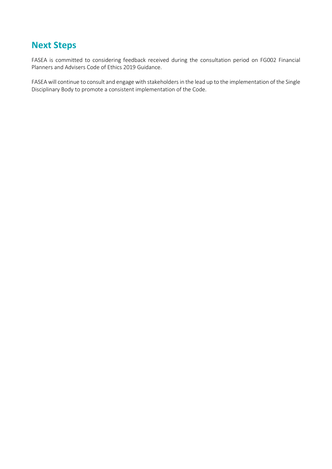## <span id="page-11-0"></span>**Next Steps**

FASEA is committed to considering feedback received during the consultation period on FG002 Financial Planners and Advisers Code of Ethics 2019 Guidance.

FASEA will continue to consult and engage with stakeholders in the lead up to the implementation of the Single Disciplinary Body to promote a consistent implementation of the Code.